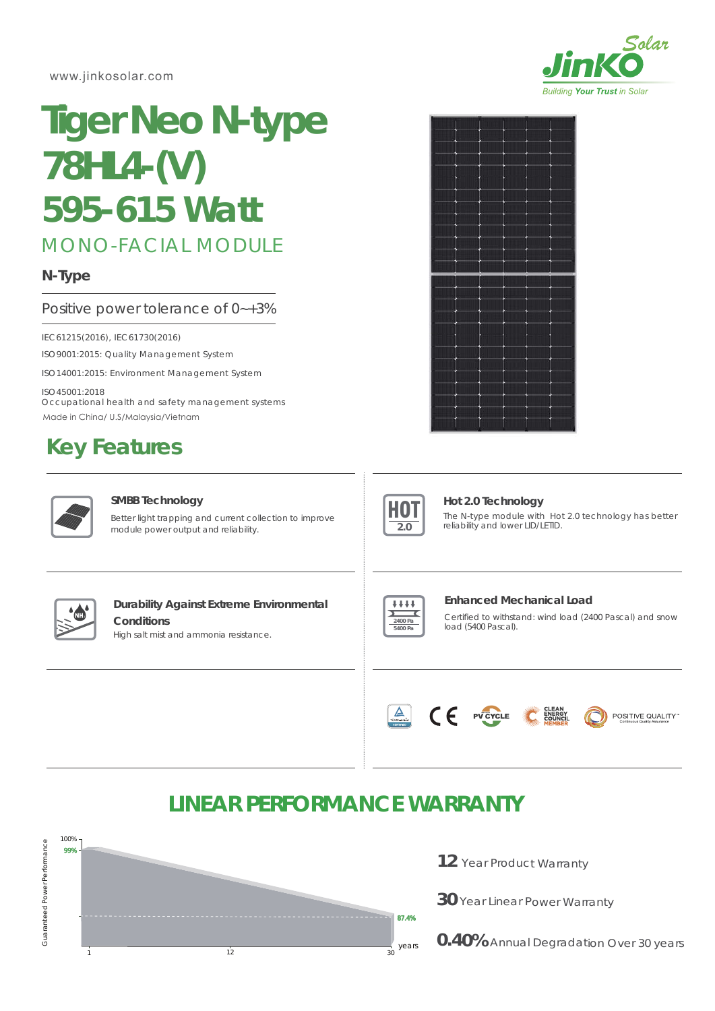www.jinkosolar.com

# MONO-FACIAL MODULE **Tiger Neo N-type 78HL4-(V)** *595-615 Watt*

# **N-Type**

# Positive power tolerance of 0~+3%

ISO9001:2015: Quality Management System IEC61215(2016), IEC61730(2016)

ISO14001:2015: Environment Management System

ISO45001:2018 Occupational health and safety management systems Made in China/ U.S/Malaysia/Vietnam

# **Key Features**



#### **SMBB Technology**

Better light trapping and current collection to improve module power output and reliability.





### **Hot 2.0 Technology**

The N-type module with Hot 2.0 technology has better reliability and lower LID/LETID.



# **Durability Against Extreme Environmental Conditions**

High salt mist and ammonia resistance.



#### **Enhanced Mechanical Load**

Certified to withstand: wind load (2400 Pascal) and snow load (5400 Pascal).



# **LINEAR PERFORMANCE WARRANTY**



12 Year Product Warranty

**30** Year Linear Power Warranty

**0.40%** Annual Degradation Over 30 years